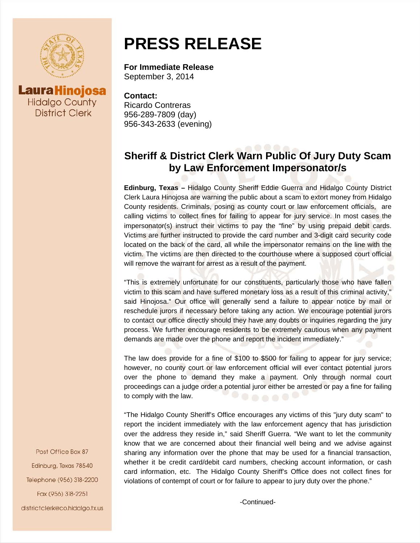



## **PRESS RELEASE**

## **For Immediate Release**  September 3, 2014

**Contact:** Ricardo Contreras 956-289-7809 (day) 956-343-2633 (evening)

## **Sheriff & District Clerk Warn Public Of Jury Duty Scam by Law Enforcement Impersonator/s**

**Edinburg, Texas –** Hidalgo County Sheriff Eddie Guerra and Hidalgo County District Clerk Laura Hinojosa are warning the public about a scam to extort money from Hidalgo County residents. Criminals, posing as county court or law enforcement officials, are calling victims to collect fines for failing to appear for jury service. In most cases the impersonator(s) instruct their victims to pay the "fine" by using prepaid debit cards. Victims are further instructed to provide the card number and 3-digit card security code located on the back of the card, all while the impersonator remains on the line with the victim. The victims are then directed to the courthouse where a supposed court official will remove the warrant for arrest as a result of the payment.

"This is extremely unfortunate for our constituents, particularly those who have fallen victim to this scam and have suffered monetary loss as a result of this criminal activity," said Hinojosa." Our office will generally send a failure to appear notice by mail or reschedule jurors if necessary before taking any action. We encourage potential jurors to contact our office directly should they have any doubts or inquiries regarding the jury process. We further encourage residents to be extremely cautious when any payment demands are made over the phone and report the incident immediately."

The law does provide for a fine of \$100 to \$500 for failing to appear for jury service; however, no county court or law enforcement official will ever contact potential jurors over the phone to demand they make a payment. Only through normal court proceedings can a judge order a potential juror either be arrested or pay a fine for failing to comply with the law.

"The Hidalgo County Sheriff's Office encourages any victims of this "jury duty scam" to report the incident immediately with the law enforcement agency that has jurisdiction over the address they reside in," said Sheriff Guerra. "We want to let the community know that we are concerned about their financial well being and we advise against sharing any information over the phone that may be used for a financial transaction, whether it be credit card/debit card numbers, checking account information, or cash card information, etc. The Hidalgo County Sheriff's Office does not collect fines for violations of contempt of court or for failure to appear to jury duty over the phone."

Post Office Box 87 Edinburg, Texas 78540 Telephone (956) 318-2200 Fax (956) 318-2251

districtclerk@co.hidalgo.tx.us

-Continued-